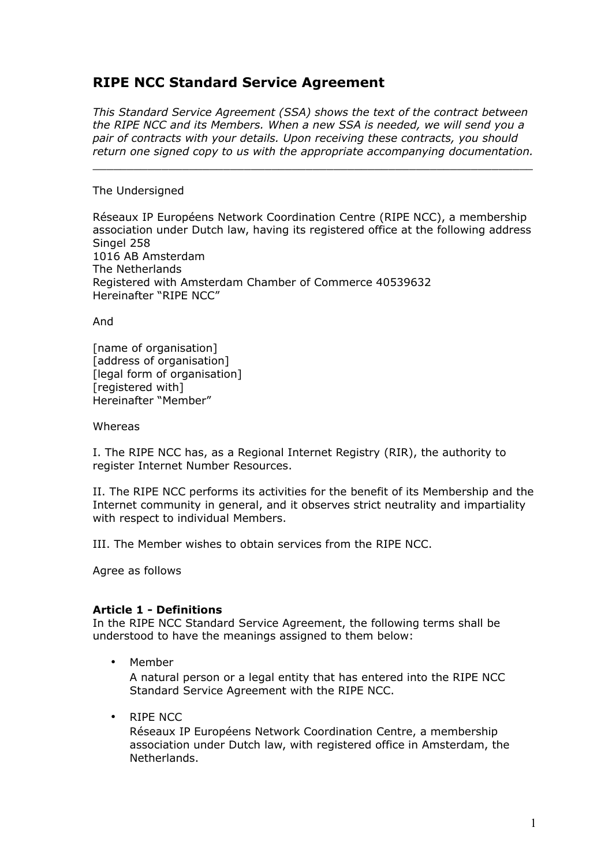# **RIPE NCC Standard Service Agreement**

*This Standard Service Agreement (SSA) shows the text of the contract between the RIPE NCC and its Members. When a new SSA is needed, we will send you a pair of contracts with your details. Upon receiving these contracts, you should return one signed copy to us with the appropriate accompanying documentation.*

 $\Box$ 

#### The Undersigned

Réseaux IP Européens Network Coordination Centre (RIPE NCC), a membership association under Dutch law, having its registered office at the following address Singel 258 1016 AB Amsterdam The Netherlands Registered with Amsterdam Chamber of Commerce 40539632 Hereinafter "RIPE NCC"

And

[name of organisation] [address of organisation] [legal form of organisation] [registered with] Hereinafter "Member"

Whereas

I. The RIPE NCC has, as a Regional Internet Registry (RIR), the authority to register Internet Number Resources.

II. The RIPE NCC performs its activities for the benefit of its Membership and the Internet community in general, and it observes strict neutrality and impartiality with respect to individual Members.

III. The Member wishes to obtain services from the RIPE NCC.

Agree as follows

#### **Article 1 - Definitions**

In the RIPE NCC Standard Service Agreement, the following terms shall be understood to have the meanings assigned to them below:

• Member

A natural person or a legal entity that has entered into the RIPE NCC Standard Service Agreement with the RIPE NCC.

• RIPE NCC

Réseaux IP Européens Network Coordination Centre, a membership association under Dutch law, with registered office in Amsterdam, the Netherlands.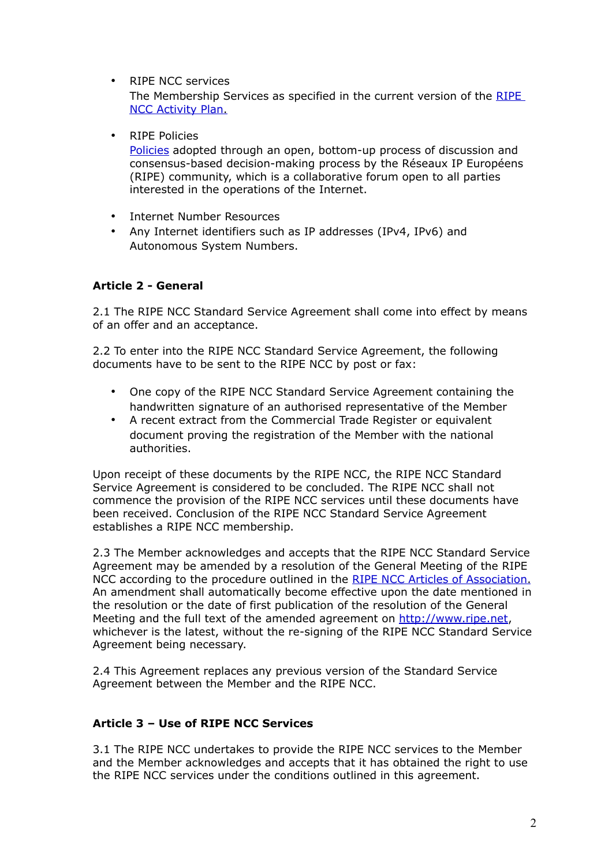• RIPE NCC services

The Membership Services as specified in the current version of the [RIPE](http://www.ripe.net/ripe/docs/ap)  [NCC Activity Plan.](http://www.ripe.net/ripe/docs/ap)

• RIPE Policies

[Policies](http://www.ripe.net/ripe/docs/current-ripe-documents/ripe-policies) adopted through an open, bottom-up process of discussion and consensus-based decision-making process by the Réseaux IP Européens (RIPE) community, which is a collaborative forum open to all parties interested in the operations of the Internet.

- Internet Number Resources
- Any Internet identifiers such as IP addresses (IPv4, IPv6) and Autonomous System Numbers.

# **Article 2 - General**

2.1 The RIPE NCC Standard Service Agreement shall come into effect by means of an offer and an acceptance.

2.2 To enter into the RIPE NCC Standard Service Agreement, the following documents have to be sent to the RIPE NCC by post or fax:

- One copy of the RIPE NCC Standard Service Agreement containing the handwritten signature of an authorised representative of the Member
- A recent extract from the Commercial Trade Register or equivalent document proving the registration of the Member with the national authorities.

Upon receipt of these documents by the RIPE NCC, the RIPE NCC Standard Service Agreement is considered to be concluded. The RIPE NCC shall not commence the provision of the RIPE NCC services until these documents have been received. Conclusion of the RIPE NCC Standard Service Agreement establishes a RIPE NCC membership.

2.3 The Member acknowledges and accepts that the RIPE NCC Standard Service Agreement may be amended by a resolution of the General Meeting of the RIPE NCC according to the procedure outlined in the [RIPE NCC Articles of Association.](http://www.ripe.net/ripe/docs/articles-association) An amendment shall automatically become effective upon the date mentioned in the resolution or the date of first publication of the resolution of the General Meeting and the full text of the amended agreement on [http://www.ripe.net,](http://www.ripe.net/) whichever is the latest, without the re-signing of the RIPE NCC Standard Service Agreement being necessary.

2.4 This Agreement replaces any previous version of the Standard Service Agreement between the Member and the RIPE NCC.

# **Article 3 – Use of RIPE NCC Services**

3.1 The RIPE NCC undertakes to provide the RIPE NCC services to the Member and the Member acknowledges and accepts that it has obtained the right to use the RIPE NCC services under the conditions outlined in this agreement.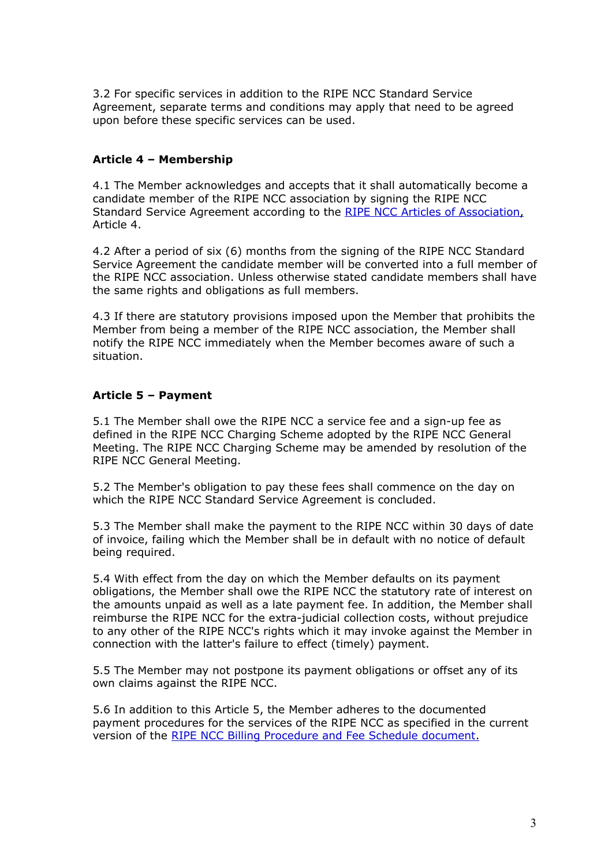3.2 For specific services in addition to the RIPE NCC Standard Service Agreement, separate terms and conditions may apply that need to be agreed upon before these specific services can be used.

## **Article 4 – Membership**

4.1 The Member acknowledges and accepts that it shall automatically become a candidate member of the RIPE NCC association by signing the RIPE NCC Standard Service Agreement according to the [RIPE NCC Articles of Association,](http://www.ripe.net/ripe/docs/articles-association) Article 4.

4.2 After a period of six (6) months from the signing of the RIPE NCC Standard Service Agreement the candidate member will be converted into a full member of the RIPE NCC association. Unless otherwise stated candidate members shall have the same rights and obligations as full members.

4.3 If there are statutory provisions imposed upon the Member that prohibits the Member from being a member of the RIPE NCC association, the Member shall notify the RIPE NCC immediately when the Member becomes aware of such a situation.

### **Article 5 – Payment**

5.1 The Member shall owe the RIPE NCC a service fee and a sign-up fee as defined in the RIPE NCC Charging Scheme adopted by the RIPE NCC General Meeting. The RIPE NCC Charging Scheme may be amended by resolution of the RIPE NCC General Meeting.

5.2 The Member's obligation to pay these fees shall commence on the day on which the RIPE NCC Standard Service Agreement is concluded.

5.3 The Member shall make the payment to the RIPE NCC within 30 days of date of invoice, failing which the Member shall be in default with no notice of default being required.

5.4 With effect from the day on which the Member defaults on its payment obligations, the Member shall owe the RIPE NCC the statutory rate of interest on the amounts unpaid as well as a late payment fee. In addition, the Member shall reimburse the RIPE NCC for the extra-judicial collection costs, without prejudice to any other of the RIPE NCC's rights which it may invoke against the Member in connection with the latter's failure to effect (timely) payment.

5.5 The Member may not postpone its payment obligations or offset any of its own claims against the RIPE NCC.

5.6 In addition to this Article 5, the Member adheres to the documented payment procedures for the services of the RIPE NCC as specified in the current version of the [RIPE NCC Billing Procedure and Fee Schedule document.](http://www.ripe.net/lir-services/billing/procedure)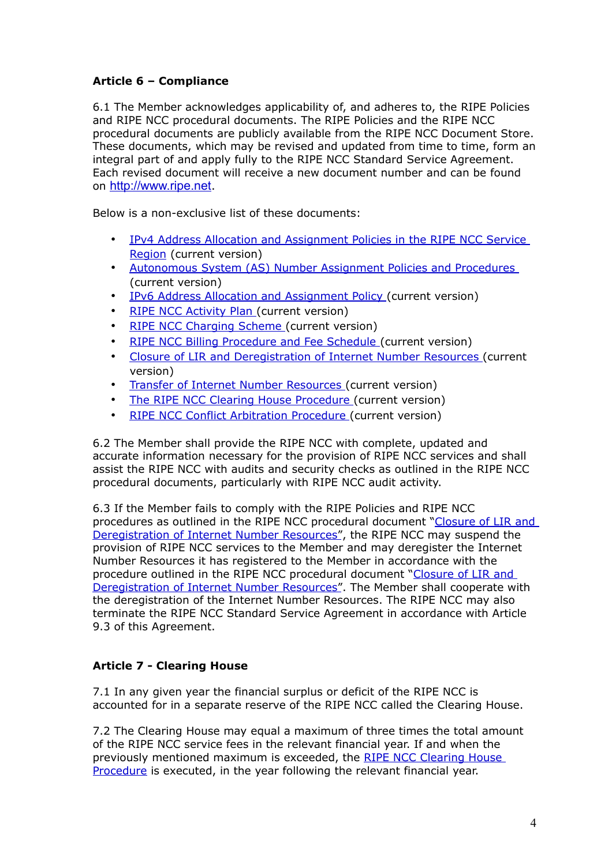# **Article 6 – Compliance**

6.1 The Member acknowledges applicability of, and adheres to, the RIPE Policies and RIPE NCC procedural documents. The RIPE Policies and the RIPE NCC procedural documents are publicly available from the RIPE NCC Document Store. These documents, which may be revised and updated from time to time, form an integral part of and apply fully to the RIPE NCC Standard Service Agreement. Each revised document will receive a new document number and can be found on [http://www.ripe.net](http://www.ripe.net/).

Below is a non-exclusive list of these documents:

- • [IPv4 Address Allocation and Assignment Policies in the RIPE NCC Service](http://www.ripe.net/ripe/docs/ipv4-policies) [Region](http://www.ripe.net/ripe/docs/ipv4-policies) (current version)
- • [Autonomous System \(AS\) Number Assignment Policies and Procedures](http://www.ripe.net/ripe/docs/asn-assignment) (current version)
- IPv6 Address Allocation and Assignment Policy (current version)
- • [RIPE NCC Activity Plan](http://www.ripe.net/ripe/docs/ap) (current version)
- RIPE NCC Charging Scheme (current version)
- • [RIPE NCC Billing Procedure and Fee Schedule](http://www.ripe.net/lir-services/billing/procedure) (current version)
- • [Closure of LIR and Deregistration of Internet Number Resources](http://www.ripe.net/ripe/docs/closure%20) (current version)
- • [Transfer of Internet Number Resources](http://www.ripe.net/ripe/docs/transfer) (current version)
- The RIPE NCC Clearing House Procedure (current version)
- • [RIPE NCC Conflict Arbitration Procedure](http://www.ripe.net/ripe/docs/arbitration) (current version)

6.2 The Member shall provide the RIPE NCC with complete, updated and accurate information necessary for the provision of RIPE NCC services and shall assist the RIPE NCC with audits and security checks as outlined in the RIPE NCC procedural documents, particularly with RIPE NCC audit activity.

6.3 If the Member fails to comply with the RIPE Policies and RIPE NCC procedures as outlined in the RIPE NCC procedural document [" Closure of LIR and](http://www.ripe.net/ripe/docs/closure)  [Deregistration of Internet Number Resources"](http://www.ripe.net/ripe/docs/closure), the RIPE NCC may suspend the provision of RIPE NCC services to the Member and may deregister the Internet Number Resources it has registered to the Member in accordance with the procedure outlined in the RIPE NCC procedural document [" Closure of LIR and](http://www.ripe.net/ripe/docs/closure)  [Deregistration of Internet Number Resources"](http://www.ripe.net/ripe/docs/closure). The Member shall cooperate with the deregistration of the Internet Number Resources. The RIPE NCC may also terminate the RIPE NCC Standard Service Agreement in accordance with Article 9.3 of this Agreement.

# **Article 7 - Clearing House**

7.1 In any given year the financial surplus or deficit of the RIPE NCC is accounted for in a separate reserve of the RIPE NCC called the Clearing House.

7.2 The Clearing House may equal a maximum of three times the total amount of the RIPE NCC service fees in the relevant financial year. If and when the previously mentioned maximum is exceeded, the [RIPE NCC Clearing House](http://www.ripe.net/ripe/docs/clearinghouse) [Procedure](http://www.ripe.net/ripe/docs/clearinghouse) is executed, in the year following the relevant financial year.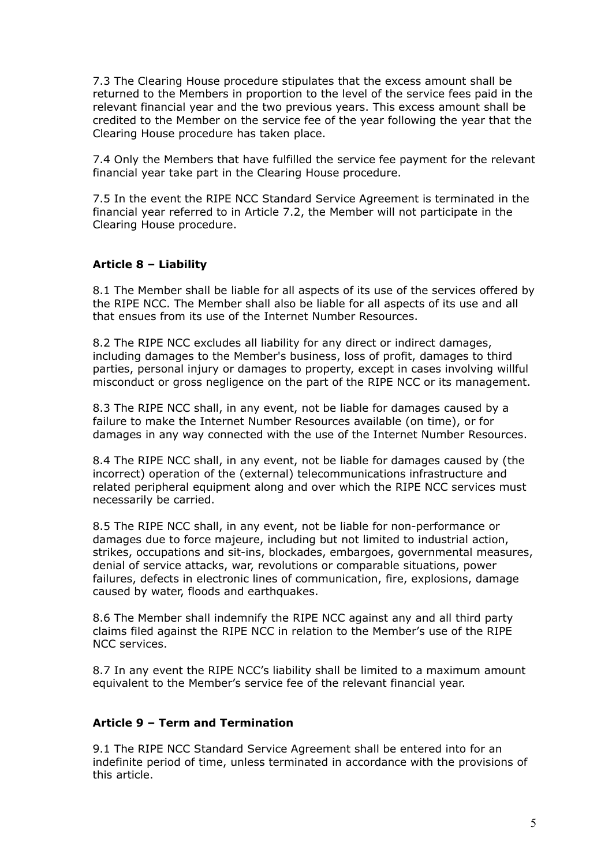7.3 The Clearing House procedure stipulates that the excess amount shall be returned to the Members in proportion to the level of the service fees paid in the relevant financial year and the two previous years. This excess amount shall be credited to the Member on the service fee of the year following the year that the Clearing House procedure has taken place.

7.4 Only the Members that have fulfilled the service fee payment for the relevant financial year take part in the Clearing House procedure.

7.5 In the event the RIPE NCC Standard Service Agreement is terminated in the financial year referred to in Article 7.2, the Member will not participate in the Clearing House procedure.

### **Article 8 – Liability**

8.1 The Member shall be liable for all aspects of its use of the services offered by the RIPE NCC. The Member shall also be liable for all aspects of its use and all that ensues from its use of the Internet Number Resources.

8.2 The RIPE NCC excludes all liability for any direct or indirect damages, including damages to the Member's business, loss of profit, damages to third parties, personal injury or damages to property, except in cases involving willful misconduct or gross negligence on the part of the RIPE NCC or its management.

8.3 The RIPE NCC shall, in any event, not be liable for damages caused by a failure to make the Internet Number Resources available (on time), or for damages in any way connected with the use of the Internet Number Resources.

8.4 The RIPE NCC shall, in any event, not be liable for damages caused by (the incorrect) operation of the (external) telecommunications infrastructure and related peripheral equipment along and over which the RIPE NCC services must necessarily be carried.

8.5 The RIPE NCC shall, in any event, not be liable for non-performance or damages due to force majeure, including but not limited to industrial action, strikes, occupations and sit-ins, blockades, embargoes, governmental measures, denial of service attacks, war, revolutions or comparable situations, power failures, defects in electronic lines of communication, fire, explosions, damage caused by water, floods and earthquakes.

8.6 The Member shall indemnify the RIPE NCC against any and all third party claims filed against the RIPE NCC in relation to the Member's use of the RIPE NCC services.

8.7 In any event the RIPE NCC's liability shall be limited to a maximum amount equivalent to the Member's service fee of the relevant financial year.

### **Article 9 – Term and Termination**

9.1 The RIPE NCC Standard Service Agreement shall be entered into for an indefinite period of time, unless terminated in accordance with the provisions of this article.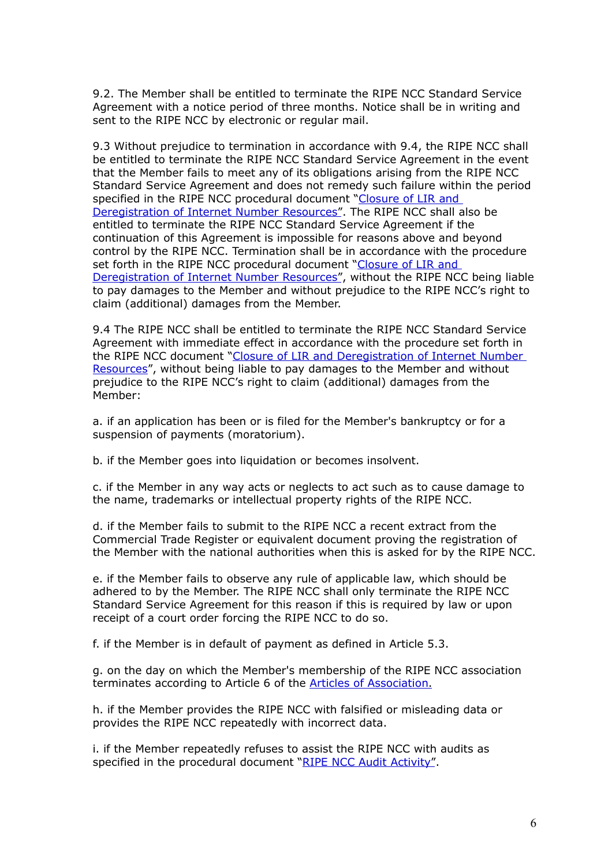9.2. The Member shall be entitled to terminate the RIPE NCC Standard Service Agreement with a notice period of three months. Notice shall be in writing and sent to the RIPE NCC by electronic or regular mail.

9.3 Without prejudice to termination in accordance with 9.4, the RIPE NCC shall be entitled to terminate the RIPE NCC Standard Service Agreement in the event that the Member fails to meet any of its obligations arising from the RIPE NCC Standard Service Agreement and does not remedy such failure within the period specified in the RIPE NCC procedural document "Closure of LIR and  [Deregistration of Internet Number Resources"](http://www.ripe.net/ripe/docs/closure). The RIPE NCC shall also be entitled to terminate the RIPE NCC Standard Service Agreement if the continuation of this Agreement is impossible for reasons above and beyond control by the RIPE NCC. Termination shall be in accordance with the procedure set forth in the RIPE NCC procedural document "Closure of LIR and  [Deregistration of Internet Number Resources"](http://www.ripe.net/ripe/docs/closure), without the RIPE NCC being liable to pay damages to the Member and without prejudice to the RIPE NCC's right to claim (additional) damages from the Member.

9.4 The RIPE NCC shall be entitled to terminate the RIPE NCC Standard Service Agreement with immediate effect in accordance with the procedure set forth in the RIPE NCC document [" Closure of LIR and Deregistration of Internet Number](http://www.ripe.net/ripe/docs/closure) [Resources"](http://www.ripe.net/ripe/docs/closure), without being liable to pay damages to the Member and without prejudice to the RIPE NCC's right to claim (additional) damages from the Member:

a. if an application has been or is filed for the Member's bankruptcy or for a suspension of payments (moratorium).

b. if the Member goes into liquidation or becomes insolvent.

c. if the Member in any way acts or neglects to act such as to cause damage to the name, trademarks or intellectual property rights of the RIPE NCC.

d. if the Member fails to submit to the RIPE NCC a recent extract from the Commercial Trade Register or equivalent document proving the registration of the Member with the national authorities when this is asked for by the RIPE NCC.

e. if the Member fails to observe any rule of applicable law, which should be adhered to by the Member. The RIPE NCC shall only terminate the RIPE NCC Standard Service Agreement for this reason if this is required by law or upon receipt of a court order forcing the RIPE NCC to do so.

f. if the Member is in default of payment as defined in Article 5.3.

g. on the day on which the Member's membership of the RIPE NCC association terminates according to Article 6 of the [Articles of Association.](http://www.ripe.net/ripe/docs/articles-association)

h. if the Member provides the RIPE NCC with falsified or misleading data or provides the RIPE NCC repeatedly with incorrect data.

i. if the Member repeatedly refuses to assist the RIPE NCC with audits as specified in the procedural document "RIPE NCC Audit Activity".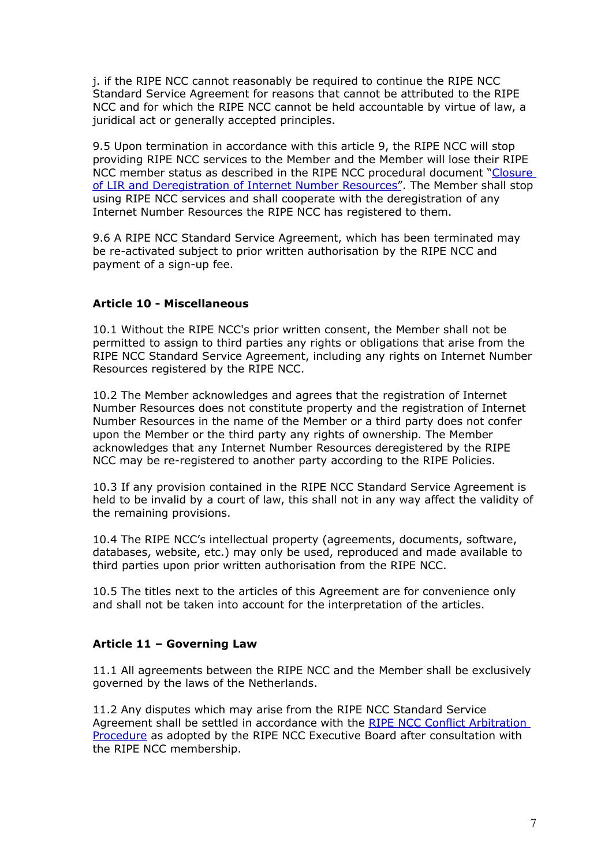j. if the RIPE NCC cannot reasonably be required to continue the RIPE NCC Standard Service Agreement for reasons that cannot be attributed to the RIPE NCC and for which the RIPE NCC cannot be held accountable by virtue of law, a juridical act or generally accepted principles.

9.5 Upon termination in accordance with this article 9, the RIPE NCC will stop providing RIPE NCC services to the Member and the Member will lose their RIPE NCC member status as described in the RIPE NCC procedural document ["Closure](http://www.ripe.net/ripe/docs/closure)  [of LIR and Deregistration of Internet Number Resources"](http://www.ripe.net/ripe/docs/closure). The Member shall stop using RIPE NCC services and shall cooperate with the deregistration of any Internet Number Resources the RIPE NCC has registered to them.

9.6 A RIPE NCC Standard Service Agreement, which has been terminated may be re-activated subject to prior written authorisation by the RIPE NCC and payment of a sign-up fee.

### **Article 10 - Miscellaneous**

10.1 Without the RIPE NCC's prior written consent, the Member shall not be permitted to assign to third parties any rights or obligations that arise from the RIPE NCC Standard Service Agreement, including any rights on Internet Number Resources registered by the RIPE NCC.

10.2 The Member acknowledges and agrees that the registration of Internet Number Resources does not constitute property and the registration of Internet Number Resources in the name of the Member or a third party does not confer upon the Member or the third party any rights of ownership. The Member acknowledges that any Internet Number Resources deregistered by the RIPE NCC may be re-registered to another party according to the RIPE Policies.

10.3 If any provision contained in the RIPE NCC Standard Service Agreement is held to be invalid by a court of law, this shall not in any way affect the validity of the remaining provisions.

10.4 The RIPE NCC's intellectual property (agreements, documents, software, databases, website, etc.) may only be used, reproduced and made available to third parties upon prior written authorisation from the RIPE NCC.

10.5 The titles next to the articles of this Agreement are for convenience only and shall not be taken into account for the interpretation of the articles.

#### **Article 11 – Governing Law**

11.1 All agreements between the RIPE NCC and the Member shall be exclusively governed by the laws of the Netherlands.

11.2 Any disputes which may arise from the RIPE NCC Standard Service Agreement shall be settled in accordance with the [RIPE NCC Conflict Arbitration](http://www.ripe.net/ripe/docs/arbitration) [Procedure](http://www.ripe.net/ripe/docs/arbitration) as adopted by the RIPE NCC Executive Board after consultation with the RIPE NCC membership.